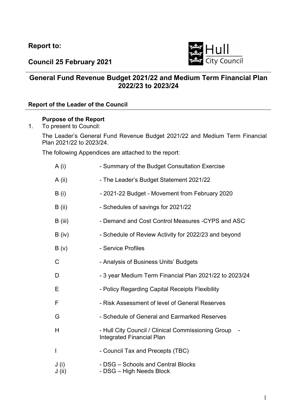**Report to:** 



**Council 25 February 2021** 

# **General Fund Revenue Budget 2021/22 and Medium Term Financial Plan 2022/23 to 2023/24**

## **Report of the Leader of the Council**

## **Purpose of the Report**

1. To present to Council:

The Leader's General Fund Revenue Budget 2021/22 and Medium Term Financial Plan 2021/22 to 2023/24.

The following Appendices are attached to the report:

- A (i) Summary of the Budget Consultation Exercise
- A (ii) The Leader's Budget Statement 2021/22
- B (i) 2021-22 Budget Movement from February 2020
- B (ii) Schedules of savings for 2021/22
- B (iii) Demand and Cost Control Measures -CYPS and ASC
- B (iv) Schedule of Review Activity for 2022/23 and beyond
- B (v) Service Profiles
- C Analysis of Business Units' Budgets
- D 3 year Medium Term Financial Plan 2021/22 to 2023/24
- E Policy Regarding Capital Receipts Flexibility
- F Risk Assessment of level of General Reserves
- G Schedule of General and Earmarked Reserves
- H Hull City Council / Clinical Commissioning Group -Integrated Financial Plan
- I Council Tax and Precepts (TBC)
- J (i) DSG Schools and Central Blocks J (ii) - DSG – High Needs Block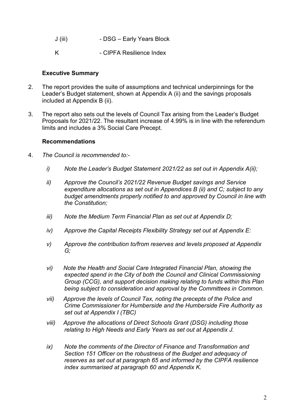- J (iii) DSG Early Years Block
- K CIPFA Resilience Index

### **Executive Summary**

- 2. The report provides the suite of assumptions and technical underpinnings for the Leader's Budget statement, shown at Appendix A (ii) and the savings proposals included at Appendix B (ii).
- 3. The report also sets out the levels of Council Tax arising from the Leader's Budget Proposals for 2021/22. The resultant increase of 4.99% is in line with the referendum limits and includes a 3% Social Care Precept.

#### **Recommendations**

- 4. *The Council is recommended to:* 
	- *i) Note the Leader's Budget Statement 2021/22 as set out in Appendix A(ii);*
	- *ii) Approve the Council's 2021/22 Revenue Budget savings and Service expenditure allocations as set out in Appendices B (ii) and C; subject to any budget amendments properly notified to and approved by Council in line with the Constitution;*
	- *iii) Note the Medium Term Financial Plan as set out at Appendix D;*
	- *iv) Approve the Capital Receipts Flexibility Strategy set out at Appendix E:*
	- *v) Approve the contribution to/from reserves and levels proposed at Appendix G;*
	- *vi) Note the Health and Social Care Integrated Financial Plan, showing the expected spend in the City of both the Council and Clinical Commissioning Group (CCG), and support decision making relating to funds within this Plan being subject to consideration and approval by the Committees in Common.*
	- *vii) Approve the levels of Council Tax, noting the precepts of the Police and Crime Commissioner for Humberside and the Humberside Fire Authority as set out at Appendix I (TBC)*
	- *viii) Approve the allocations of Direct Schools Grant (DSG) including those relating to High Needs and Early Years as set out at Appendix J.*
	- *ix) Note the comments of the Director of Finance and Transformation and Section 151 Officer on the robustness of the Budget and adequacy of reserves as set out at paragraph 65 and informed by the CIPFA resilience index summarised at paragraph 60 and Appendix K.*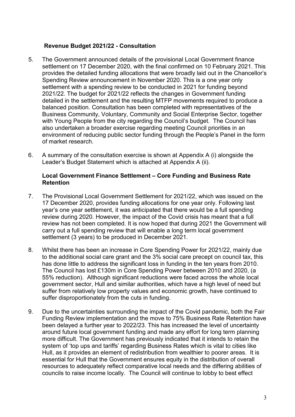#### **Revenue Budget 2021/22 - Consultation**

- 5. The Government announced details of the provisional Local Government finance settlement on 17 December 2020, with the final confirmed on 10 February 2021. This provides the detailed funding allocations that were broadly laid out in the Chancellor's Spending Review announcement in November 2020. This is a one year only settlement with a spending review to be conducted in 2021 for funding beyond 2021/22. The budget for 2021/22 reflects the changes in Government funding detailed in the settlement and the resulting MTFP movements required to produce a balanced position. Consultation has been completed with representatives of the Business Community, Voluntary, Community and Social Enterprise Sector, together with Young People from the city regarding the Council's budget. The Council has also undertaken a broader exercise regarding meeting Council priorities in an environment of reducing public sector funding through the People's Panel in the form of market research.
- 6. A summary of the consultation exercise is shown at Appendix A (i) alongside the Leader's Budget Statement which is attached at Appendix A (ii).

#### **Local Government Finance Settlement – Core Funding and Business Rate Retention**

- 7. The Provisional Local Government Settlement for 2021/22, which was issued on the 17 December 2020, provides funding allocations for one year only. Following last year's one year settlement, it was anticipated that there would be a full spending review during 2020. However, the impact of the Covid crisis has meant that a full review has not been completed. It is now hoped that during 2021 the Government will carry out a full spending review that will enable a long term local government settlement (3 years) to be produced in December 2021.
- 8. Whilst there has been an increase in Core Spending Power for 2021/22, mainly due to the additional social care grant and the 3% social care precept on council tax, this has done little to address the significant loss in funding in the ten years from 2010. The Council has lost £130m in Core Spending Power between 2010 and 2020, (a 55% reduction). Although significant reductions were faced across the whole local government sector, Hull and similar authorities, which have a high level of need but suffer from relatively low property values and economic growth, have continued to suffer disproportionately from the cuts in funding.
- 9. Due to the uncertainties surrounding the impact of the Covid pandemic, both the Fair Funding Review implementation and the move to 75% Business Rate Retention have been delayed a further year to 2022/23. This has increased the level of uncertainty around future local government funding and made any effort for long term planning more difficult. The Government has previously indicated that it intends to retain the system of 'top ups and tariffs' regarding Business Rates which is vital to cities like Hull, as it provides an element of redistribution from wealthier to poorer areas. It is essential for Hull that the Government ensures equity in the distribution of overall resources to adequately reflect comparative local needs and the differing abilities of councils to raise income locally. The Council will continue to lobby to best effect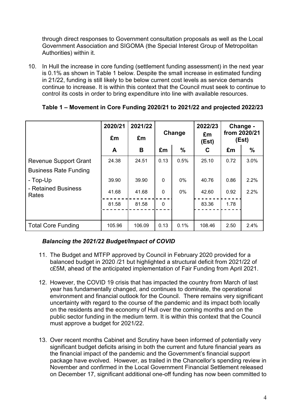through direct responses to Government consultation proposals as well as the Local Government Association and SIGOMA (the Special Interest Group of Metropolitan Authorities) within it.

10. In Hull the increase in core funding (settlement funding assessment) in the next year is 0.1% as shown in Table 1 below. Despite the small increase in estimated funding in 21/22, funding is still likely to be below current cost levels as service demands continue to increase. It is within this context that the Council must seek to continue to control its costs in order to bring expenditure into line with available resources.

|                              | 2020/21 | 2021/22 |        |       | 2022/23                              |      | Change - |
|------------------------------|---------|---------|--------|-------|--------------------------------------|------|----------|
|                              | £m      | £m      | Change |       | from 2020/21<br>£m<br>(Est)<br>(Est) |      |          |
|                              | A       | B       | £m     | %     | C                                    | £m   | $\%$     |
| <b>Revenue Support Grant</b> | 24.38   | 24.51   | 0.13   | 0.5%  | 25.10                                | 0.72 | 3.0%     |
| <b>Business Rate Funding</b> |         |         |        |       |                                      |      |          |
| - Top-Up                     | 39.90   | 39.90   | 0      | $0\%$ | 40.76                                | 0.86 | 2.2%     |
| - Retained Business<br>Rates | 41.68   | 41.68   | 0      | $0\%$ | 42.60                                | 0.92 | 2.2%     |
|                              | 81.58   | 81.58   | 0      |       | 83.36                                | 1.78 |          |
|                              |         |         |        |       |                                      |      |          |
| <b>Total Core Funding</b>    | 105.96  | 106.09  | 0.13   | 0.1%  | 108.46                               | 2.50 | 2.4%     |

## **Table 1 – Movement in Core Funding 2020/21 to 2021/22 and projected 2022/23**

# *Balancing the 2021/22 Budget/Impact of COVID*

- 11. The Budget and MTFP approved by Council in February 2020 provided for a balanced budget in 2020 /21 but highlighted a structural deficit from 2021/22 of c£5M, ahead of the anticipated implementation of Fair Funding from April 2021.
- 12. However, the COVID 19 crisis that has impacted the country from March of last year has fundamentally changed, and continues to dominate, the operational environment and financial outlook for the Council. There remains very significant uncertainty with regard to the course of the pandemic and its impact both locally on the residents and the economy of Hull over the coming months and on the public sector funding in the medium term. It is within this context that the Council must approve a budget for 2021/22.
- 13. Over recent months Cabinet and Scrutiny have been informed of potentially very significant budget deficits arising in both the current and future financial years as the financial impact of the pandemic and the Government's financial support package have evolved. However, as trailed in the Chancellor's spending review in November and confirmed in the Local Government Financial Settlement released on December 17, significant additional one-off funding has now been committed to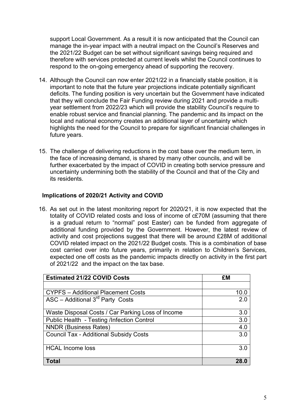support Local Government. As a result it is now anticipated that the Council can manage the in-year impact with a neutral impact on the Council's Reserves and the 2021/22 Budget can be set without significant savings being required and therefore with services protected at current levels whilst the Council continues to respond to the on-going emergency ahead of supporting the recovery.

- 14. Although the Council can now enter 2021/22 in a financially stable position, it is important to note that the future year projections indicate potentially significant deficits. The funding position is very uncertain but the Government have indicated that they will conclude the Fair Funding review during 2021 and provide a multiyear settlement from 2022/23 which will provide the stability Council's require to enable robust service and financial planning. The pandemic and its impact on the local and national economy creates an additional layer of uncertainty which highlights the need for the Council to prepare for significant financial challenges in future years.
- 15. The challenge of delivering reductions in the cost base over the medium term, in the face of increasing demand, is shared by many other councils, and will be further exacerbated by the impact of COVID in creating both service pressure and uncertainty undermining both the stability of the Council and that of the City and its residents.

## **Implications of 2020/21 Activity and COVID**

16. As set out in the latest monitoring report for 2020/21, it is now expected that the totality of COVID related costs and loss of income of c£70M (assuming that there is a gradual return to "normal" post Easter) can be funded from aggregate of additional funding provided by the Government. However, the latest review of activity and cost projections suggest that there will be around £28M of additional COVID related impact on the 2021/22 Budget costs. This is a combination of base cost carried over into future years, primarily in relation to Children's Services, expected one off costs as the pandemic impacts directly on activity in the first part of 2021/22 and the impact on the tax base.

| <b>Estimated 21/22 COVID Costs</b>                | £M   |
|---------------------------------------------------|------|
|                                                   |      |
| <b>CYPFS</b> – Additional Placement Costs         | 10.0 |
| ASC - Additional $3rd$ Party Costs                | 2.0  |
|                                                   |      |
| Waste Disposal Costs / Car Parking Loss of Income | 3.0  |
| Public Health - Testing /Infection Control        | 3.0  |
| <b>NNDR (Business Rates)</b>                      | 4.0  |
| <b>Council Tax - Additional Subsidy Costs</b>     | 3.0  |
|                                                   |      |
| <b>HCAL Income loss</b>                           | 3.0  |
|                                                   |      |
| <b>Total</b>                                      | 28.0 |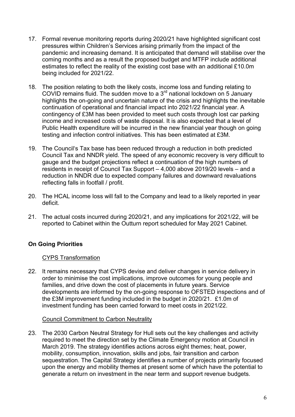- 17. Formal revenue monitoring reports during 2020/21 have highlighted significant cost pressures within Children's Services arising primarily from the impact of the pandemic and increasing demand. It is anticipated that demand will stabilise over the coming months and as a result the proposed budget and MTFP include additional estimates to reflect the reality of the existing cost base with an additional £10.0m being included for 2021/22.
- 18. The position relating to both the likely costs, income loss and funding relating to COVID remains fluid. The sudden move to a  $3<sup>rd</sup>$  national lockdown on 5 January highlights the on-going and uncertain nature of the crisis and highlights the inevitable continuation of operational and financial impact into 2021/22 financial year. A contingency of £3M has been provided to meet such costs through lost car parking income and increased costs of waste disposal. It is also expected that a level of Public Health expenditure will be incurred in the new financial year though on going testing and infection control initiatives. This has been estimated at £3M.
- 19. The Council's Tax base has been reduced through a reduction in both predicted Council Tax and NNDR yield. The speed of any economic recovery is very difficult to gauge and the budget projections reflect a continuation of the high numbers of residents in receipt of Council Tax Support – 4,000 above 2019/20 levels – and a reduction in NNDR due to expected company failures and downward revaluations reflecting falls in footfall / profit.
- 20. The HCAL income loss will fall to the Company and lead to a likely reported in year deficit.
- 21. The actual costs incurred during 2020/21, and any implications for 2021/22, will be reported to Cabinet within the Outturn report scheduled for May 2021 Cabinet.

# **On Going Priorities**

## CYPS Transformation

22. It remains necessary that CYPS devise and deliver changes in service delivery in order to minimise the cost implications, improve outcomes for young people and families, and drive down the cost of placements in future years. Service developments are informed by the on-going response to OFSTED inspections and of the £3M improvement funding included in the budget in 2020/21. £1.0m of investment funding has been carried forward to meet costs in 2021/22.

## Council Commitment to Carbon Neutrality

23. The 2030 Carbon Neutral Strategy for Hull sets out the key challenges and activity required to meet the direction set by the Climate Emergency motion at Council in March 2019. The strategy identifies actions across eight themes; heat, power, mobility, consumption, innovation, skills and jobs, fair transition and carbon sequestration. The Capital Strategy identifies a number of projects primarily focused upon the energy and mobility themes at present some of which have the potential to generate a return on investment in the near term and support revenue budgets.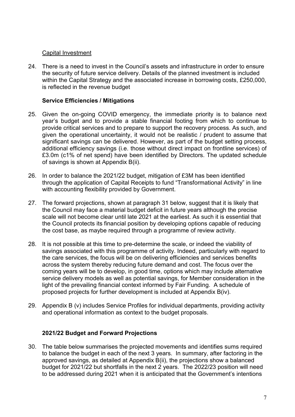#### Capital Investment

24. There is a need to invest in the Council's assets and infrastructure in order to ensure the security of future service delivery. Details of the planned investment is included within the Capital Strategy and the associated increase in borrowing costs, £250,000, is reflected in the revenue budget

### **Service Efficiencies / Mitigations**

- 25. Given the on-going COVID emergency, the immediate priority is to balance next year's budget and to provide a stable financial footing from which to continue to provide critical services and to prepare to support the recovery process. As such, and given the operational uncertainty, it would not be realistic / prudent to assume that significant savings can be delivered. However, as part of the budget setting process, additional efficiency savings (i.e. those without direct impact on frontline services) of £3.0m (c1% of net spend) have been identified by Directors. The updated schedule of savings is shown at Appendix B(ii).
- 26. In order to balance the 2021/22 budget, mitigation of £3M has been identified through the application of Capital Receipts to fund "Transformational Activity" in line with accounting flexibility provided by Government.
- 27. The forward projections, shown at paragraph 31 below, suggest that it is likely that the Council may face a material budget deficit in future years although the precise scale will not become clear until late 2021 at the earliest. As such it is essential that the Council protects its financial position by developing options capable of reducing the cost base, as maybe required through a programme of review activity.
- 28. It is not possible at this time to pre-determine the scale, or indeed the viability of savings associated with this programme of activity. Indeed, particularly with regard to the care services, the focus will be on delivering efficiencies and services benefits across the system thereby reducing future demand and cost. The focus over the coming years will be to develop, in good time, options which may include alternative service delivery models as well as potential savings, for Member consideration in the light of the prevailing financial context informed by Fair Funding. A schedule of proposed projects for further development is included at Appendix B(iv).
- 29. Appendix B (v) includes Service Profiles for individual departments, providing activity and operational information as context to the budget proposals.

#### **2021/22 Budget and Forward Projections**

30. The table below summarises the projected movements and identifies sums required to balance the budget in each of the next 3 years. In summary, after factoring in the approved savings, as detailed at Appendix B(ii), the projections show a balanced budget for 2021/22 but shortfalls in the next 2 years. The 2022/23 position will need to be addressed during 2021 when it is anticipated that the Government's intentions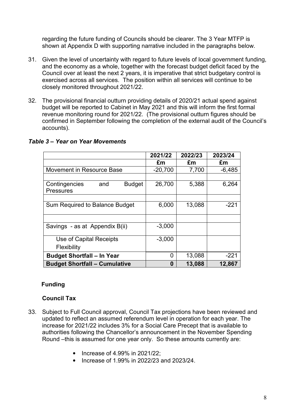regarding the future funding of Councils should be clearer. The 3 Year MTFP is shown at Appendix D with supporting narrative included in the paragraphs below.

- 31. Given the level of uncertainty with regard to future levels of local government funding, and the economy as a whole, together with the forecast budget deficit faced by the Council over at least the next 2 years, it is imperative that strict budgetary control is exercised across all services. The position within all services will continue to be closely monitored throughout 2021/22.
- 32. The provisional financial outturn providing details of 2020/21 actual spend against budget will be reported to Cabinet in May 2021 and this will inform the first formal revenue monitoring round for 2021/22. (The provisional outturn figures should be confirmed in September following the completion of the external audit of the Council's accounts).

|                                                           | 2021/22   | 2022/23 | 2023/24  |
|-----------------------------------------------------------|-----------|---------|----------|
|                                                           | £m        | £m      | £m       |
| Movement in Resource Base                                 | $-20,700$ | 7,700   | $-6,485$ |
|                                                           |           |         |          |
| <b>Budget</b><br>and<br>Contingencies<br><b>Pressures</b> | 26,700    | 5,388   | 6,264    |
|                                                           |           |         |          |
| Sum Required to Balance Budget                            | 6,000     | 13,088  | $-221$   |
|                                                           |           |         |          |
| Savings - as at Appendix B(ii)                            | $-3,000$  |         |          |
| Use of Capital Receipts                                   | $-3,000$  |         |          |
| Flexibility                                               |           |         |          |
| <b>Budget Shortfall - In Year</b>                         | 0         | 13,088  | $-221$   |
| <b>Budget Shortfall - Cumulative</b>                      | 0         | 13,088  | 12,867   |

#### *Table 3 – Year on Year Movements*

#### **Funding**

#### **Council Tax**

- 33. Subject to Full Council approval, Council Tax projections have been reviewed and updated to reflect an assumed referendum level in operation for each year. The increase for 2021/22 includes 3% for a Social Care Precept that is available to authorities following the Chancellor's announcement in the November Spending Round –this is assumed for one year only. So these amounts currently are:
	- Increase of 4.99% in 2021/22;
	- Increase of 1.99% in 2022/23 and 2023/24.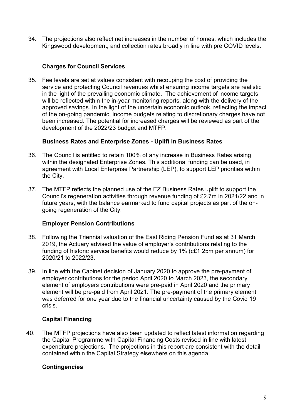34. The projections also reflect net increases in the number of homes, which includes the Kingswood development, and collection rates broadly in line with pre COVID levels.

## **Charges for Council Services**

35. Fee levels are set at values consistent with recouping the cost of providing the service and protecting Council revenues whilst ensuring income targets are realistic in the light of the prevailing economic climate. The achievement of income targets will be reflected within the in-year monitoring reports, along with the delivery of the approved savings. In the light of the uncertain economic outlook, reflecting the impact of the on-going pandemic, income budgets relating to discretionary charges have not been increased. The potential for increased charges will be reviewed as part of the development of the 2022/23 budget and MTFP.

## **Business Rates and Enterprise Zones - Uplift in Business Rates**

- 36. The Council is entitled to retain 100% of any increase in Business Rates arising within the designated Enterprise Zones. This additional funding can be used, in agreement with Local Enterprise Partnership (LEP), to support LEP priorities within the City.
- 37. The MTFP reflects the planned use of the EZ Business Rates uplift to support the Council's regeneration activities through revenue funding of £2.7m in 2021/22 and in future years, with the balance earmarked to fund capital projects as part of the ongoing regeneration of the City.

## **Employer Pension Contributions**

- 38. Following the Triennial valuation of the East Riding Pension Fund as at 31 March 2019, the Actuary advised the value of employer's contributions relating to the funding of historic service benefits would reduce by 1% (c£1.25m per annum) for 2020/21 to 2022/23.
- 39. In line with the Cabinet decision of January 2020 to approve the pre-payment of employer contributions for the period April 2020 to March 2023, the secondary element of employers contributions were pre-paid in April 2020 and the primary element will be pre-paid from April 2021. The pre-payment of the primary element was deferred for one year due to the financial uncertainty caused by the Covid 19 crisis.

## **Capital Financing**

40. The MTFP projections have also been updated to reflect latest information regarding the Capital Programme with Capital Financing Costs revised in line with latest expenditure projections. The projections in this report are consistent with the detail contained within the Capital Strategy elsewhere on this agenda.

## **Contingencies**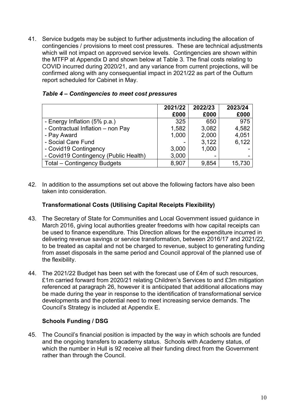41. Service budgets may be subject to further adjustments including the allocation of contingencies / provisions to meet cost pressures. These are technical adjustments which will not impact on approved service levels. Contingencies are shown within the MTFP at Appendix D and shown below at Table 3. The final costs relating to COVID incurred during 2020/21, and any variance from current projections, will be confirmed along with any consequential impact in 2021/22 as part of the Outturn report scheduled for Cabinet in May.

|                                       | 2021/22<br>£000 | 2022/23<br>£000 | 2023/24<br>£000 |
|---------------------------------------|-----------------|-----------------|-----------------|
| - Energy Inflation (5% p.a.)          | 325             | 650             | 975             |
| - Contractual Inflation - non Pay     | 1,582           | 3,082           | 4,582           |
| - Pay Award                           | 1,000           | 2,000           | 4,051           |
| - Social Care Fund                    |                 | 3,122           | 6,122           |
| - Covid19 Contingency                 | 3,000           | 1,000           |                 |
| - Covid19 Contingency (Public Health) | 3,000           |                 |                 |
| <b>Total – Contingency Budgets</b>    | 8,907           | 9,854           | 15,730          |

42. In addition to the assumptions set out above the following factors have also been taken into consideration.

#### **Transformational Costs (Utilising Capital Receipts Flexibility)**

- 43. The Secretary of State for Communities and Local Government issued guidance in March 2016, giving local authorities greater freedoms with how capital receipts can be used to finance expenditure. This Direction allows for the expenditure incurred in delivering revenue savings or service transformation, between 2016/17 and 2021/22, to be treated as capital and not be charged to revenue, subject to generating funding from asset disposals in the same period and Council approval of the planned use of the flexibility.
- 44. The 2021/22 Budget has been set with the forecast use of £4m of such resources, £1m carried forward from 2020/21 relating Children's Services to and £3m mitigation referenced at paragraph 26, however it is anticipated that additional allocations may be made during the year in response to the identification of transformational service developments and the potential need to meet increasing service demands. The Council's Strategy is included at Appendix E.

#### **Schools Funding / DSG**

45. The Council's financial position is impacted by the way in which schools are funded and the ongoing transfers to academy status. Schools with Academy status, of which the number in Hull is 92 receive all their funding direct from the Government rather than through the Council.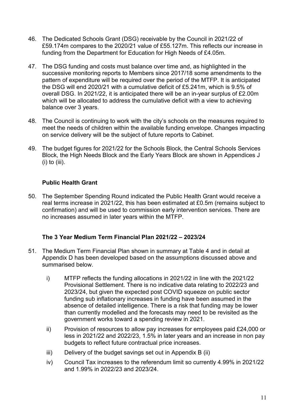- 46. The Dedicated Schools Grant (DSG) receivable by the Council in 2021/22 of £59.174m compares to the 2020/21 value of £55.127m. This reflects our increase in funding from the Department for Education for High Needs of £4.05m.
- 47. The DSG funding and costs must balance over time and, as highlighted in the successive monitoring reports to Members since 2017/18 some amendments to the pattern of expenditure will be required over the period of the MTFP. It is anticipated the DSG will end 2020/21 with a cumulative deficit of £5.241m, which is 9.5% of overall DSG. In 2021/22, it is anticipated there will be an in-year surplus of £2.00m which will be allocated to address the cumulative deficit with a view to achieving balance over 3 years.
- 48. The Council is continuing to work with the city's schools on the measures required to meet the needs of children within the available funding envelope. Changes impacting on service delivery will be the subject of future reports to Cabinet.
- 49. The budget figures for 2021/22 for the Schools Block, the Central Schools Services Block, the High Needs Block and the Early Years Block are shown in Appendices J (i) to (iii).

## **Public Health Grant**

50. The September Spending Round indicated the Public Health Grant would receive a real terms increase in 2021/22, this has been estimated at £0.5m (remains subject to confirmation) and will be used to commission early intervention services. There are no increases assumed in later years within the MTFP.

## **The 3 Year Medium Term Financial Plan 2021/22 – 2023/24**

- 51. The Medium Term Financial Plan shown in summary at Table 4 and in detail at Appendix D has been developed based on the assumptions discussed above and summarised below.
	- i) MTFP reflects the funding allocations in 2021/22 in line with the 2021/22 Provisional Settlement. There is no indicative data relating to 2022/23 and 2023/24, but given the expected post COVID squeeze on public sector funding sub inflationary increases in funding have been assumed in the absence of detailed intelligence. There is a risk that funding may be lower than currently modelled and the forecasts may need to be revisited as the government works toward a spending review in 2021.
	- ii) Provision of resources to allow pay increases for employees paid £24,000 or less in 2021/22 and 2022/23, 1.5% in later years and an increase in non pay budgets to reflect future contractual price increases.
	- iii) Delivery of the budget savings set out in Appendix B (ii)
	- iv) Council Tax increases to the referendum limit so currently 4.99% in 2021/22 and 1.99% in 2022/23 and 2023/24.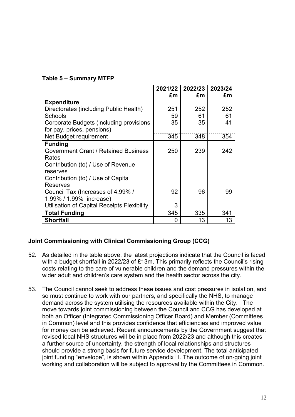|  | Table 5 - Summary MTFP |  |
|--|------------------------|--|
|  |                        |  |

|                                             | 2021/22 | 2022/23 | 2023/24 |
|---------------------------------------------|---------|---------|---------|
|                                             | £m      | £m      | £m      |
| <b>Expenditure</b>                          |         |         |         |
| Directorates (including Public Health)      | 251     | 252     | 252     |
| Schools                                     | 59      | 61      | 61      |
| Corporate Budgets (including provisions     | 35      | 35      | 41      |
| for pay, prices, pensions)                  |         |         |         |
| Net Budget requirement                      | 345     | 348     | 354     |
| <b>Funding</b>                              |         |         |         |
| Government Grant / Retained Business        | 250     | 239     | 242     |
| Rates                                       |         |         |         |
| Contribution (to) / Use of Revenue          |         |         |         |
| reserves                                    |         |         |         |
| Contribution (to) / Use of Capital          |         |         |         |
| <b>Reserves</b>                             |         |         |         |
| Council Tax (Increases of 4.99%/            | 92      | 96      | 99      |
| 1.99% / 1.99% increase)                     |         |         |         |
| Utilisation of Capital Receipts Flexibility | 3       |         |         |
| <b>Total Funding</b>                        | 345     | 335     | 341     |
| <b>Shortfall</b>                            | 0       | 13      | 13      |

# **Joint Commissioning with Clinical Commissioning Group (CCG)**

- 52. As detailed in the table above, the latest projections indicate that the Council is faced with a budget shortfall in 2022/23 of £13m. This primarily reflects the Council's rising costs relating to the care of vulnerable children and the demand pressures within the wider adult and children's care system and the health sector across the city.
- 53. The Council cannot seek to address these issues and cost pressures in isolation, and so must continue to work with our partners, and specifically the NHS, to manage demand across the system utilising the resources available within the City. The move towards joint commissioning between the Council and CCG has developed at both an Officer (Integrated Commissioning Officer Board) and Member (Committees in Common) level and this provides confidence that efficiencies and improved value for money can be achieved. Recent announcements by the Government suggest that revised local NHS structures will be in place from 2022/23 and although this creates a further source of uncertainty, the strength of local relationships and structures should provide a strong basis for future service development. The total anticipated joint funding "envelope", is shown within Appendix H. The outcome of on-going joint working and collaboration will be subject to approval by the Committees in Common.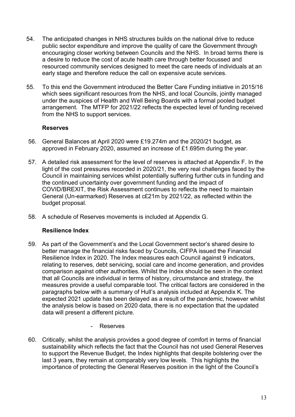- 54. The anticipated changes in NHS structures builds on the national drive to reduce public sector expenditure and improve the quality of care the Government through encouraging closer working between Councils and the NHS. In broad terms there is a desire to reduce the cost of acute health care through better focussed and resourced community services designed to meet the care needs of individuals at an early stage and therefore reduce the call on expensive acute services.
- 55. To this end the Government introduced the Better Care Funding initiative in 2015/16 which sees significant resources from the NHS, and local Councils, jointly managed under the auspices of Health and Well Being Boards with a formal pooled budget arrangement. The MTFP for 2021/22 reflects the expected level of funding received from the NHS to support services.

## **Reserves**

- 56. General Balances at April 2020 were £19.274m and the 2020/21 budget, as approved in February 2020, assumed an increase of £1.695m during the year.
- 57. A detailed risk assessment for the level of reserves is attached at Appendix F. In the light of the cost pressures recorded in 2020/21, the very real challenges faced by the Council in maintaining services whilst potentially suffering further cuts in funding and the continued uncertainty over government funding and the impact of COVID/BREXIT, the Risk Assessment continues to reflects the need to maintain General (Un-earmarked) Reserves at c£21m by 2021/22, as reflected within the budget proposal.
- 58. A schedule of Reserves movements is included at Appendix G.

## **Resilience Index**

- 59. As part of the Government's and the Local Government sector's shared desire to better manage the financial risks faced by Councils, CIFPA issued the Financial Resilience Index in 2020. The Index measures each Council against 9 indicators, relating to reserves, debt servicing, social care and income generation, and provides comparison against other authorities. Whilst the Index should be seen in the context that all Councils are individual in terms of history, circumstance and strategy, the measures provide a useful comparable tool. The critical factors are considered in the paragraphs below with a summary of Hull's analysis included at Appendix K. The expected 2021 update has been delayed as a result of the pandemic, however whilst the analysis below is based on 2020 data, there is no expectation that the updated data will present a different picture.
	- Reserves
- 60. Critically, whilst the analysis provides a good degree of comfort in terms of financial sustainability which reflects the fact that the Council has not used General Reserves to support the Revenue Budget, the Index highlights that despite bolstering over the last 3 years, they remain at comparably very low levels. This highlights the importance of protecting the General Reserves position in the light of the Council's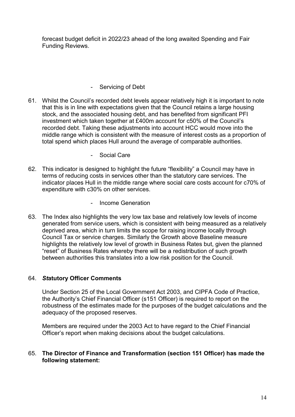forecast budget deficit in 2022/23 ahead of the long awaited Spending and Fair Funding Reviews.

### - Servicing of Debt

- 61. Whilst the Council's recorded debt levels appear relatively high it is important to note that this is in line with expectations given that the Council retains a large housing stock, and the associated housing debt, and has benefited from significant PFI investment which taken together at £400m account for c50% of the Council's recorded debt. Taking these adjustments into account HCC would move into the middle range which is consistent with the measure of interest costs as a proportion of total spend which places Hull around the average of comparable authorities.
	- Social Care
- 62. This indicator is designed to highlight the future "flexibility" a Council may have in terms of reducing costs in services other than the statutory care services. The indicator places Hull in the middle range where social care costs account for c70% of expenditure with c30% on other services.
	- Income Generation
- 63. The Index also highlights the very low tax base and relatively low levels of income generated from service users, which is consistent with being measured as a relatively deprived area, which in turn limits the scope for raising income locally through Council Tax or service charges. Similarly the Growth above Baseline measure highlights the relatively low level of growth in Business Rates but, given the planned "reset" of Business Rates whereby there will be a redistribution of such growth between authorities this translates into a low risk position for the Council.

#### 64. *St***atutory Officer Comments**

Under Section 25 of the Local Government Act 2003, and CIPFA Code of Practice, the Authority's Chief Financial Officer (s151 Officer) is required to report on the robustness of the estimates made for the purposes of the budget calculations and the adequacy of the proposed reserves.

Members are required under the 2003 Act to have regard to the Chief Financial Officer's report when making decisions about the budget calculations.

#### 65. **The Director of Finance and Transformation (section 151 Officer) has made the following statement:**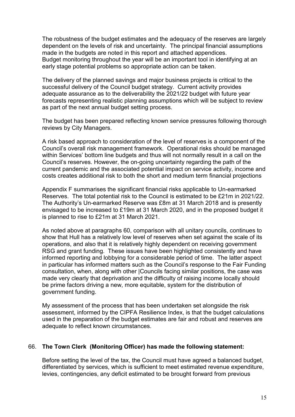The robustness of the budget estimates and the adequacy of the reserves are largely dependent on the levels of risk and uncertainty. The principal financial assumptions made in the budgets are noted in this report and attached appendices. Budget monitoring throughout the year will be an important tool in identifying at an early stage potential problems so appropriate action can be taken.

The delivery of the planned savings and major business projects is critical to the successful delivery of the Council budget strategy. Current activity provides adequate assurance as to the deliverability the 2021/22 budget with future year forecasts representing realistic planning assumptions which will be subject to review as part of the next annual budget setting process.

The budget has been prepared reflecting known service pressures following thorough reviews by City Managers.

A risk based approach to consideration of the level of reserves is a component of the Council's overall risk management framework. Operational risks should be managed within Services' bottom line budgets and thus will not normally result in a call on the Council's reserves. However, the on-going uncertainty regarding the path of the current pandemic and the associated potential impact on service activity, income and costs creates additional risk to both the short and medium term financial projections

Appendix F summarises the significant financial risks applicable to Un-earmarked Reserves. The total potential risk to the Council is estimated to be £21m in 2021/22. The Authority's Un-earmarked Reserve was £8m at 31 March 2018 and is presently envisaged to be increased to £19m at 31 March 2020, and in the proposed budget it is planned to rise to £21m at 31 March 2021.

As noted above at paragraphs 60, comparison with all unitary councils, continues to show that Hull has a relatively low level of reserves when set against the scale of its operations, and also that it is relatively highly dependent on receiving government RSG and grant funding. These issues have been highlighted consistently and have informed reporting and lobbying for a considerable period of time. The latter aspect in particular has informed matters such as the Council's response to the Fair Funding consultation, when, along with other |Councils facing similar positions, the case was made very clearly that deprivation and the difficulty of raising income locally should be prime factors driving a new, more equitable, system for the distribution of government funding.

My assessment of the process that has been undertaken set alongside the risk assessment, informed by the CIPFA Resilience Index, is that the budget calculations used in the preparation of the budget estimates are fair and robust and reserves are adequate to reflect known circumstances.

#### 66. **The Town Clerk (Monitoring Officer) has made the following statement:**

Before setting the level of the tax, the Council must have agreed a balanced budget, differentiated by services, which is sufficient to meet estimated revenue expenditure, levies, contingencies, any deficit estimated to be brought forward from previous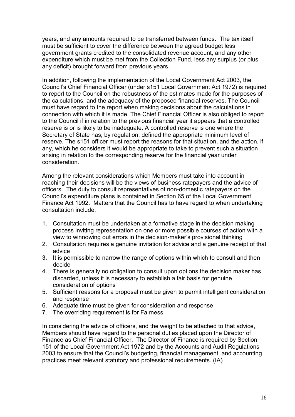years, and any amounts required to be transferred between funds. The tax itself must be sufficient to cover the difference between the agreed budget less government grants credited to the consolidated revenue account, and any other expenditure which must be met from the Collection Fund, less any surplus (or plus any deficit) brought forward from previous years.

In addition, following the implementation of the Local Government Act 2003, the Council's Chief Financial Officer (under s151 Local Government Act 1972) is required to report to the Council on the robustness of the estimates made for the purposes of the calculations, and the adequacy of the proposed financial reserves. The Council must have regard to the report when making decisions about the calculations in connection with which it is made. The Chief Financial Officer is also obliged to report to the Council if in relation to the previous financial year it appears that a controlled reserve is or is likely to be inadequate. A controlled reserve is one where the Secretary of State has, by regulation, defined the appropriate minimum level of reserve. The s151 officer must report the reasons for that situation, and the action, if any, which he considers it would be appropriate to take to prevent such a situation arising in relation to the corresponding reserve for the financial year under consideration.

Among the relevant considerations which Members must take into account in reaching their decisions will be the views of business ratepayers and the advice of officers. The duty to consult representatives of non-domestic ratepayers on the Council's expenditure plans is contained in Section 65 of the Local Government Finance Act 1992. Matters that the Council has to have regard to when undertaking consultation include:

- 1. Consultation must be undertaken at a formative stage in the decision making process inviting representation on one or more possible courses of action with a view to winnowing out errors in the decision-maker's provisional thinking
- 2. Consultation requires a genuine invitation for advice and a genuine receipt of that advice
- 3. It is permissible to narrow the range of options within which to consult and then decide
- 4. There is generally no obligation to consult upon options the decision maker has discarded, unless it is necessary to establish a fair basis for genuine consideration of options
- 5. Sufficient reasons for a proposal must be given to permit intelligent consideration and response
- 6. Adequate time must be given for consideration and response
- 7. The overriding requirement is for Fairness

In considering the advice of officers, and the weight to be attached to that advice, Members should have regard to the personal duties placed upon the Director of Finance as Chief Financial Officer. The Director of Finance is required by Section 151 of the Local Government Act 1972 and by the Accounts and Audit Regulations 2003 to ensure that the Council's budgeting, financial management, and accounting practices meet relevant statutory and professional requirements. (IA)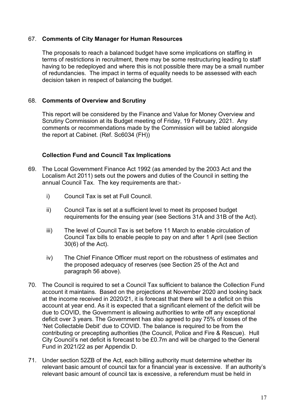#### 67. **Comments of City Manager for Human Resources**

The proposals to reach a balanced budget have some implications on staffing in terms of restrictions in recruitment, there may be some restructuring leading to staff having to be redeployed and where this is not possible there may be a small number of redundancies. The impact in terms of equality needs to be assessed with each decision taken in respect of balancing the budget.

#### 68. **Comments of Overview and Scrutiny**

This report will be considered by the Finance and Value for Money Overview and Scrutiny Commission at its Budget meeting of Friday, 19 February, 2021. Any comments or recommendations made by the Commission will be tabled alongside the report at Cabinet. (Ref. Sc6034 (FH))

#### **Collection Fund and Council Tax Implications**

- 69. The Local Government Finance Act 1992 (as amended by the 2003 Act and the Localism Act 2011) sets out the powers and duties of the Council in setting the annual Council Tax. The key requirements are that:
	- i) Council Tax is set at Full Council.
	- ii) Council Tax is set at a sufficient level to meet its proposed budget requirements for the ensuing year (see Sections 31A and 31B of the Act).
	- iii) The level of Council Tax is set before 11 March to enable circulation of Council Tax bills to enable people to pay on and after 1 April (see Section 30(6) of the Act).
	- iv) The Chief Finance Officer must report on the robustness of estimates and the proposed adequacy of reserves (see Section 25 of the Act and paragraph 56 above).
- 70. The Council is required to set a Council Tax sufficient to balance the Collection Fund account it maintains. Based on the projections at November 2020 and looking back at the income received in 2020/21, it is forecast that there will be a deficit on this account at year end. As it is expected that a significant element of the deficit will be due to COVID, the Government is allowing authorities to write off any exceptional deficit over 3 years. The Government has also agreed to pay 75% of losses of the 'Net Collectable Debit' due to COVID. The balance is required to be from the contributing or precepting authorities (the Council, Police and Fire & Rescue). Hull City Council's net deficit is forecast to be £0.7m and will be charged to the General Fund in 2021/22 as per Appendix D.
- 71. Under section 52ZB of the Act, each billing authority must determine whether its relevant basic amount of council tax for a financial year is excessive. If an authority's relevant basic amount of council tax is excessive, a referendum must be held in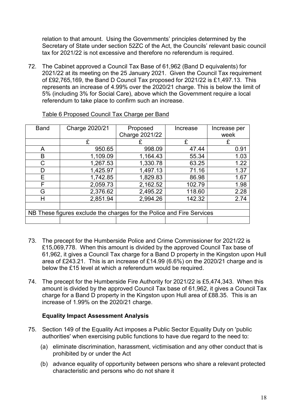relation to that amount. Using the Governments' principles determined by the Secretary of State under section 52ZC of the Act, the Councils' relevant basic council tax for 2021/22 is not excessive and therefore no referendum is required.

72. The Cabinet approved a Council Tax Base of 61,962 (Band D equivalents) for 2021/22 at its meeting on the 25 January 2021. Given the Council Tax requirement of £92,765,169, the Band D Council Tax proposed for 2021/22 is £1,497.13. This represents an increase of 4.99% over the 2020/21 charge. This is below the limit of 5% (including 3% for Social Care), above which the Government require a local referendum to take place to confirm such an increase.

| <b>Band</b> | Charge 2020/21                                                        | Proposed       | Increase | Increase per |
|-------------|-----------------------------------------------------------------------|----------------|----------|--------------|
|             |                                                                       | Charge 2021/22 |          | week         |
|             | £                                                                     |                | £        | £            |
| A           | 950.65                                                                | 998.09         | 47.44    | 0.91         |
| B           | 1,109.09                                                              | 1,164.43       | 55.34    | 1.03         |
| C           | 1,267.53                                                              | 1,330.78       | 63.25    | 1.22         |
| D           | 1,425.97                                                              | 1,497.13       | 71.16    | 1.37         |
| Е           | 1,742.85                                                              | 1,829.83       | 86.98    | 1.67         |
| F           | 2,059.73                                                              | 2,162.52       | 102.79   | 1.98         |
| G           | 2,376.62                                                              | 2,495.22       | 118.60   | 2.28         |
| Н           | 2,851.94                                                              | 2,994.26       | 142.32   | 2.74         |
|             |                                                                       |                |          |              |
|             | NB These figures exclude the charges for the Police and Fire Services |                |          |              |
|             |                                                                       |                |          |              |

#### Table 6 Proposed Council Tax Charge per Band

- 73. The precept for the Humberside Police and Crime Commissioner for 2021/22 is £15,069,778. When this amount is divided by the approved Council Tax base of 61,962, it gives a Council Tax charge for a Band D property in the Kingston upon Hull area of £243.21. This is an increase of £14.99 (6.6%) on the 2020/21 charge and is below the £15 level at which a referendum would be required.
- 74. The precept for the Humberside Fire Authority for 2021/22 is £5,474,343. When this amount is divided by the approved Council Tax base of 61,962, it gives a Council Tax charge for a Band D property in the Kingston upon Hull area of £88.35. This is an increase of 1.99% on the 2020/21 charge.

## **Equality Impact Assessment Analysis**

- 75. Section 149 of the Equality Act imposes a Public Sector Equality Duty on 'public authorities' when exercising public functions to have due regard to the need to:
	- (a) eliminate discrimination, harassment, victimisation and any other conduct that is prohibited by or under the Act
	- (b) advance equality of opportunity between persons who share a relevant protected characteristic and persons who do not share it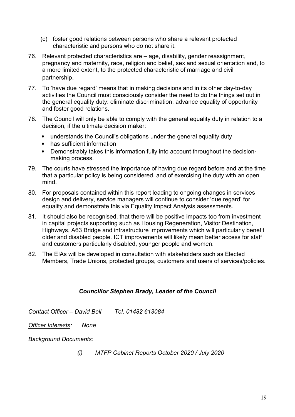- (c) foster good relations between persons who share a relevant protected characteristic and persons who do not share it.
- 76. Relevant protected characteristics are age, disability, gender reassignment, pregnancy and maternity, race, religion and belief, sex and sexual orientation and, to a more limited extent, to the protected characteristic of marriage and civil partnership.
- 77. To 'have due regard' means that in making decisions and in its other day-to-day activities the Council must consciously consider the need to do the things set out in the general equality duty: eliminate discrimination, advance equality of opportunity and foster good relations.
- 78. The Council will only be able to comply with the general equality duty in relation to a decision, if the ultimate decision maker:
	- understands the Council's obligations under the general equality duty
	- has sufficient information
	- Demonstrably takes this information fully into account throughout the decisionmaking process.
- 79. The courts have stressed the importance of having due regard before and at the time that a particular policy is being considered, and of exercising the duty with an open mind.
- 80. For proposals contained within this report leading to ongoing changes in services design and delivery, service managers will continue to consider 'due regard' for equality and demonstrate this via Equality Impact Analysis assessments.
- 81. It should also be recognised, that there will be positive impacts too from investment in capital projects supporting such as Housing Regeneration, Visitor Destination, Highways, A63 Bridge and infrastructure improvements which will particularly benefit older and disabled people. ICT improvements will likely mean better access for staff and customers particularly disabled, younger people and women.
- 82. The EIAs will be developed in consultation with stakeholders such as Elected Members, Trade Unions, protected groups, customers and users of services/policies.

## *Councillor Stephen Brady, Leader of the Council*

*Contact Officer – David Bell Tel. 01482 613084* 

*Officer Interests: None*

#### *Background Documents:*

*(i) MTFP Cabinet Reports October 2020 / July 2020*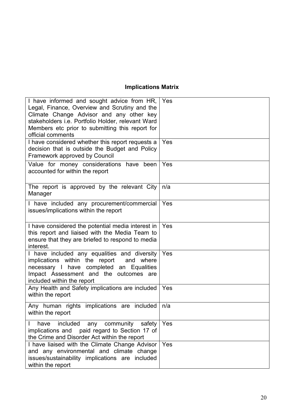# **Implications Matrix**

| I have informed and sought advice from HR,  <br>Legal, Finance, Overview and Scrutiny and the<br>Climate Change Advisor and any other key<br>stakeholders i.e. Portfolio Holder, relevant Ward<br>Members etc prior to submitting this report for<br>official comments | Yes |
|------------------------------------------------------------------------------------------------------------------------------------------------------------------------------------------------------------------------------------------------------------------------|-----|
| I have considered whether this report requests a<br>decision that is outside the Budget and Policy<br>Framework approved by Council                                                                                                                                    | Yes |
| Value for money considerations have been<br>accounted for within the report                                                                                                                                                                                            | Yes |
| The report is approved by the relevant City<br>Manager                                                                                                                                                                                                                 | n/a |
| I have included any procurement/commercial<br>issues/implications within the report                                                                                                                                                                                    | Yes |
| I have considered the potential media interest in<br>this report and liaised with the Media Team to<br>ensure that they are briefed to respond to media<br>interest.                                                                                                   | Yes |
| I have included any equalities and diversity<br>implications within the report and where<br>necessary I have completed an Equalities<br>Impact Assessment and the outcomes are<br>included within the report                                                           | Yes |
| Any Health and Safety implications are included<br>within the report                                                                                                                                                                                                   | Yes |
| Any human rights implications are included<br>within the report                                                                                                                                                                                                        | n/a |
| included<br>community<br>any<br>safety<br>have<br>implications and paid regard to Section 17 of<br>the Crime and Disorder Act within the report                                                                                                                        | Yes |
| I have liaised with the Climate Change Advisor<br>and any environmental and climate change<br>issues/sustainability implications are included<br>within the report                                                                                                     | Yes |